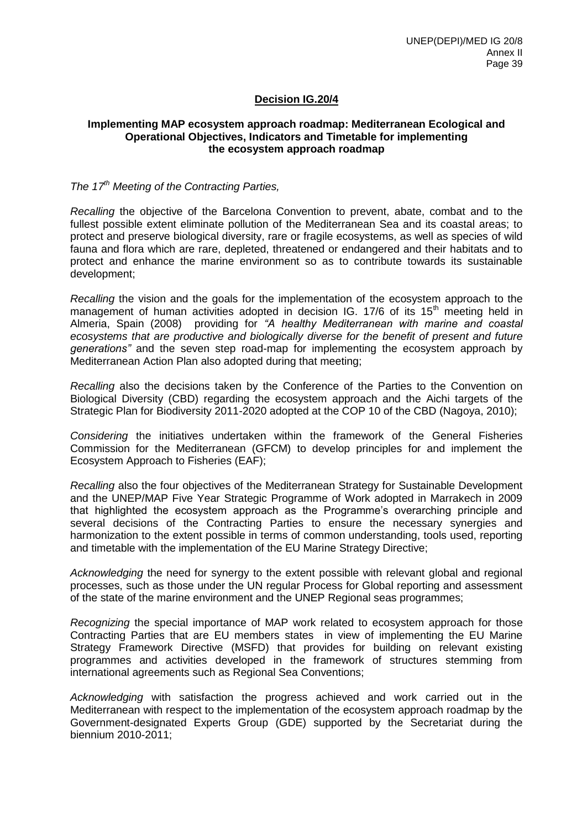## **Decision IG.20/4**

### **Implementing MAP ecosystem approach roadmap: Mediterranean Ecological and Operational Objectives, Indicators and Timetable for implementing the ecosystem approach roadmap**

## *The 17th Meeting of the Contracting Parties,*

*Recalling* the objective of the Barcelona Convention to prevent, abate, combat and to the fullest possible extent eliminate pollution of the Mediterranean Sea and its coastal areas; to protect and preserve biological diversity, rare or fragile ecosystems, as well as species of wild fauna and flora which are rare, depleted, threatened or endangered and their habitats and to protect and enhance the marine environment so as to contribute towards its sustainable development;

*Recalling* the vision and the goals for the implementation of the ecosystem approach to the management of human activities adopted in decision IG.  $17/6$  of its  $15<sup>th</sup>$  meeting held in Almeria, Spain (2008) providing for *"A healthy Mediterranean with marine and coastal ecosystems that are productive and biologically diverse for the benefit of present and future generations"* and the seven step road-map for implementing the ecosystem approach by Mediterranean Action Plan also adopted during that meeting;

*Recalling* also the decisions taken by the Conference of the Parties to the Convention on Biological Diversity (CBD) regarding the ecosystem approach and the Aichi targets of the Strategic Plan for Biodiversity 2011-2020 adopted at the COP 10 of the CBD (Nagoya, 2010);

*Considering* the initiatives undertaken within the framework of the General Fisheries Commission for the Mediterranean (GFCM) to develop principles for and implement the Ecosystem Approach to Fisheries (EAF);

*Recalling* also the four objectives of the Mediterranean Strategy for Sustainable Development and the UNEP/MAP Five Year Strategic Programme of Work adopted in Marrakech in 2009 that highlighted the ecosystem approach as the Programme's overarching principle and several decisions of the Contracting Parties to ensure the necessary synergies and harmonization to the extent possible in terms of common understanding, tools used, reporting and timetable with the implementation of the EU Marine Strategy Directive;

*Acknowledging* the need for synergy to the extent possible with relevant global and regional processes, such as those under the UN regular Process for Global reporting and assessment of the state of the marine environment and the UNEP Regional seas programmes;

*Recognizing* the special importance of MAP work related to ecosystem approach for those Contracting Parties that are EU members states in view of implementing the EU Marine Strategy Framework Directive (MSFD) that provides for building on relevant existing programmes and activities developed in the framework of structures stemming from international agreements such as Regional Sea Conventions;

*Acknowledging* with satisfaction the progress achieved and work carried out in the Mediterranean with respect to the implementation of the ecosystem approach roadmap by the Government-designated Experts Group (GDE) supported by the Secretariat during the biennium 2010-2011;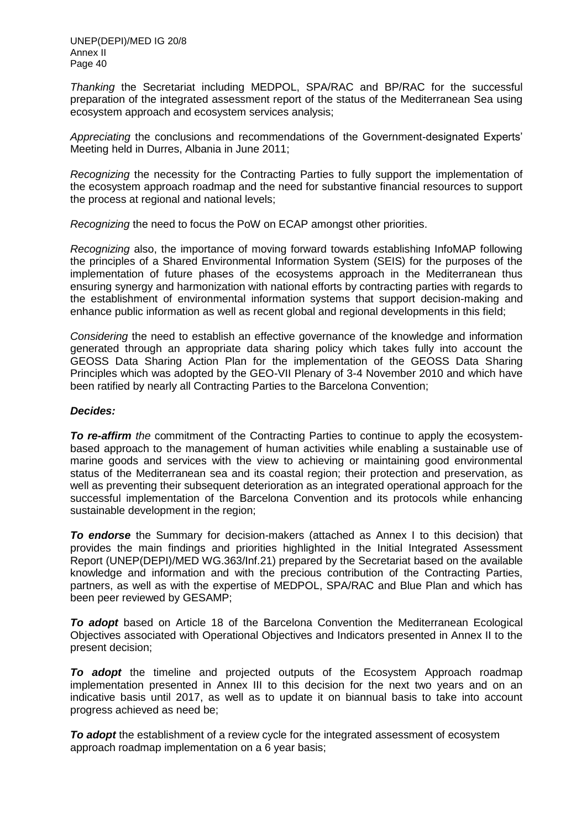UNEP(DEPI)/MED IG 20/8 Annex II Page 40

*Thanking* the Secretariat including MEDPOL, SPA/RAC and BP/RAC for the successful preparation of the integrated assessment report of the status of the Mediterranean Sea using ecosystem approach and ecosystem services analysis;

*Appreciating* the conclusions and recommendations of the Government-designated Experts' Meeting held in Durres, Albania in June 2011;

*Recognizing* the necessity for the Contracting Parties to fully support the implementation of the ecosystem approach roadmap and the need for substantive financial resources to support the process at regional and national levels;

*Recognizing* the need to focus the PoW on ECAP amongst other priorities.

*Recognizing* also, the importance of moving forward towards establishing InfoMAP following the principles of a Shared Environmental Information System (SEIS) for the purposes of the implementation of future phases of the ecosystems approach in the Mediterranean thus ensuring synergy and harmonization with national efforts by contracting parties with regards to the establishment of environmental information systems that support decision-making and enhance public information as well as recent global and regional developments in this field;

*Considering* the need to establish an effective governance of the knowledge and information generated through an appropriate data sharing policy which takes fully into account the GEOSS Data Sharing Action Plan for the implementation of the GEOSS Data Sharing Principles which was adopted by the GEO-VII Plenary of 3-4 November 2010 and which have been ratified by nearly all Contracting Parties to the Barcelona Convention;

#### *Decides:*

*To re-affirm the* commitment of the Contracting Parties to continue to apply the ecosystembased approach to the management of human activities while enabling a sustainable use of marine goods and services with the view to achieving or maintaining good environmental status of the Mediterranean sea and its coastal region; their protection and preservation, as well as preventing their subsequent deterioration as an integrated operational approach for the successful implementation of the Barcelona Convention and its protocols while enhancing sustainable development in the region;

*To endorse* the Summary for decision-makers (attached as Annex I to this decision) that provides the main findings and priorities highlighted in the Initial Integrated Assessment Report (UNEP(DEPI)/MED WG.363/Inf.21) prepared by the Secretariat based on the available knowledge and information and with the precious contribution of the Contracting Parties, partners, as well as with the expertise of MEDPOL, SPA/RAC and Blue Plan and which has been peer reviewed by GESAMP;

*To adopt* based on Article 18 of the Barcelona Convention the Mediterranean Ecological Objectives associated with Operational Objectives and Indicators presented in Annex II to the present decision;

**To adopt** the timeline and projected outputs of the Ecosystem Approach roadmap implementation presented in Annex III to this decision for the next two years and on an indicative basis until 2017, as well as to update it on biannual basis to take into account progress achieved as need be;

*To adopt* the establishment of a review cycle for the integrated assessment of ecosystem approach roadmap implementation on a 6 year basis;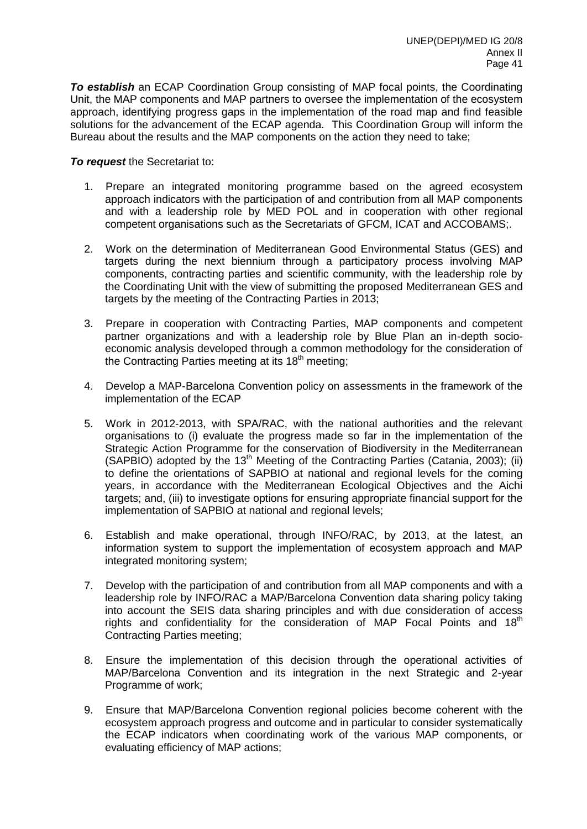*To establish* an ECAP Coordination Group consisting of MAP focal points, the Coordinating Unit, the MAP components and MAP partners to oversee the implementation of the ecosystem approach, identifying progress gaps in the implementation of the road map and find feasible solutions for the advancement of the ECAP agenda. This Coordination Group will inform the Bureau about the results and the MAP components on the action they need to take;

*To request* the Secretariat to:

- 1. Prepare an integrated monitoring programme based on the agreed ecosystem approach indicators with the participation of and contribution from all MAP components and with a leadership role by MED POL and in cooperation with other regional competent organisations such as the Secretariats of GFCM, ICAT and ACCOBAMS;.
- 2. Work on the determination of Mediterranean Good Environmental Status (GES) and targets during the next biennium through a participatory process involving MAP components, contracting parties and scientific community, with the leadership role by the Coordinating Unit with the view of submitting the proposed Mediterranean GES and targets by the meeting of the Contracting Parties in 2013;
- 3. Prepare in cooperation with Contracting Parties, MAP components and competent partner organizations and with a leadership role by Blue Plan an in-depth socioeconomic analysis developed through a common methodology for the consideration of the Contracting Parties meeting at its 18<sup>th</sup> meeting;
- 4. Develop a MAP-Barcelona Convention policy on assessments in the framework of the implementation of the ECAP
- 5. Work in 2012-2013, with SPA/RAC, with the national authorities and the relevant organisations to (i) evaluate the progress made so far in the implementation of the Strategic Action Programme for the conservation of Biodiversity in the Mediterranean  $(SAPBIO)$  adopted by the 13<sup>th</sup> Meeting of the Contracting Parties (Catania, 2003); (ii) to define the orientations of SAPBIO at national and regional levels for the coming years, in accordance with the Mediterranean Ecological Objectives and the Aichi targets; and, (iii) to investigate options for ensuring appropriate financial support for the implementation of SAPBIO at national and regional levels;
- 6. Establish and make operational, through INFO/RAC, by 2013, at the latest, an information system to support the implementation of ecosystem approach and MAP integrated monitoring system;
- 7. Develop with the participation of and contribution from all MAP components and with a leadership role by INFO/RAC a MAP/Barcelona Convention data sharing policy taking into account the SEIS data sharing principles and with due consideration of access rights and confidentiality for the consideration of MAP Focal Points and  $18<sup>th</sup>$ Contracting Parties meeting;
- 8. Ensure the implementation of this decision through the operational activities of MAP/Barcelona Convention and its integration in the next Strategic and 2-year Programme of work;
- 9. Ensure that MAP/Barcelona Convention regional policies become coherent with the ecosystem approach progress and outcome and in particular to consider systematically the ECAP indicators when coordinating work of the various MAP components, or evaluating efficiency of MAP actions;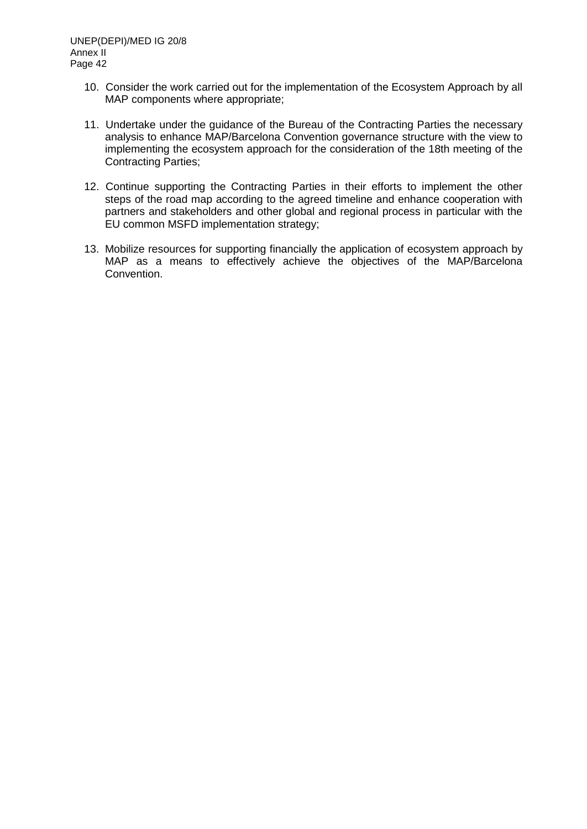- 10. Consider the work carried out for the implementation of the Ecosystem Approach by all MAP components where appropriate;
- 11. Undertake under the guidance of the Bureau of the Contracting Parties the necessary analysis to enhance MAP/Barcelona Convention governance structure with the view to implementing the ecosystem approach for the consideration of the 18th meeting of the Contracting Parties;
- 12. Continue supporting the Contracting Parties in their efforts to implement the other steps of the road map according to the agreed timeline and enhance cooperation with partners and stakeholders and other global and regional process in particular with the EU common MSFD implementation strategy;
- 13. Mobilize resources for supporting financially the application of ecosystem approach by MAP as a means to effectively achieve the objectives of the MAP/Barcelona Convention.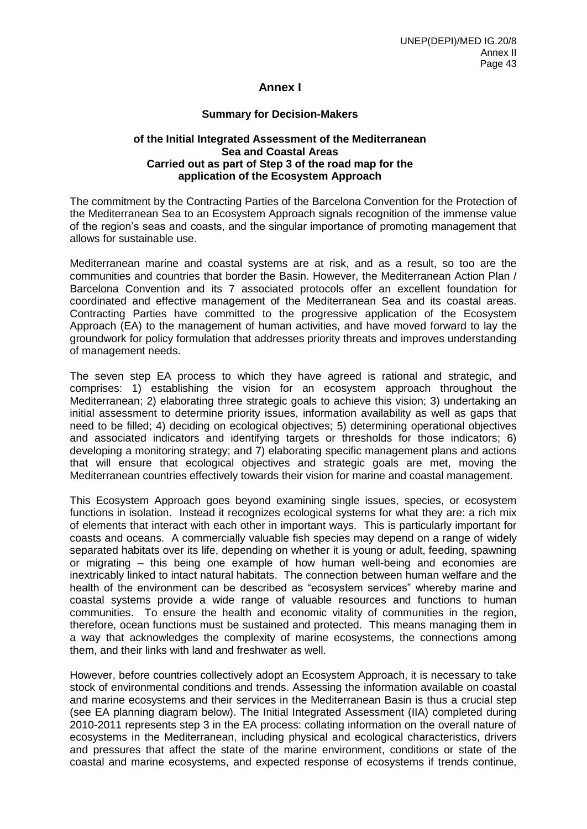## **Annex I**

## **Summary for Decision-Makers**

## **of the Initial Integrated Assessment of the Mediterranean Sea and Coastal Areas Carried out as part of Step 3 of the road map for the application of the Ecosystem Approach**

The commitment by the Contracting Parties of the Barcelona Convention for the Protection of the Mediterranean Sea to an Ecosystem Approach signals recognition of the immense value of the region's seas and coasts, and the singular importance of promoting management that allows for sustainable use.

Mediterranean marine and coastal systems are at risk, and as a result, so too are the communities and countries that border the Basin. However, the Mediterranean Action Plan / Barcelona Convention and its 7 associated protocols offer an excellent foundation for coordinated and effective management of the Mediterranean Sea and its coastal areas. Contracting Parties have committed to the progressive application of the Ecosystem Approach (EA) to the management of human activities, and have moved forward to lay the groundwork for policy formulation that addresses priority threats and improves understanding of management needs.

The seven step EA process to which they have agreed is rational and strategic, and comprises: 1) establishing the vision for an ecosystem approach throughout the Mediterranean; 2) elaborating three strategic goals to achieve this vision; 3) undertaking an initial assessment to determine priority issues, information availability as well as gaps that need to be filled; 4) deciding on ecological objectives; 5) determining operational objectives and associated indicators and identifying targets or thresholds for those indicators; 6) developing a monitoring strategy; and 7) elaborating specific management plans and actions that will ensure that ecological objectives and strategic goals are met, moving the Mediterranean countries effectively towards their vision for marine and coastal management.

This Ecosystem Approach goes beyond examining single issues, species, or ecosystem functions in isolation. Instead it recognizes ecological systems for what they are: a rich mix of elements that interact with each other in important ways. This is particularly important for coasts and oceans. A commercially valuable fish species may depend on a range of widely separated habitats over its life, depending on whether it is young or adult, feeding, spawning or migrating – this being one example of how human well-being and economies are inextricably linked to intact natural habitats. The connection between human welfare and the health of the environment can be described as "ecosystem services" whereby marine and coastal systems provide a wide range of valuable resources and functions to human communities. To ensure the health and economic vitality of communities in the region, therefore, ocean functions must be sustained and protected. This means managing them in a way that acknowledges the complexity of marine ecosystems, the connections among them, and their links with land and freshwater as well.

However, before countries collectively adopt an Ecosystem Approach, it is necessary to take stock of environmental conditions and trends. Assessing the information available on coastal and marine ecosystems and their services in the Mediterranean Basin is thus a crucial step (see EA planning diagram below). The Initial Integrated Assessment (IIA) completed during 2010-2011 represents step 3 in the EA process: collating information on the overall nature of ecosystems in the Mediterranean, including physical and ecological characteristics, drivers and pressures that affect the state of the marine environment, conditions or state of the coastal and marine ecosystems, and expected response of ecosystems if trends continue,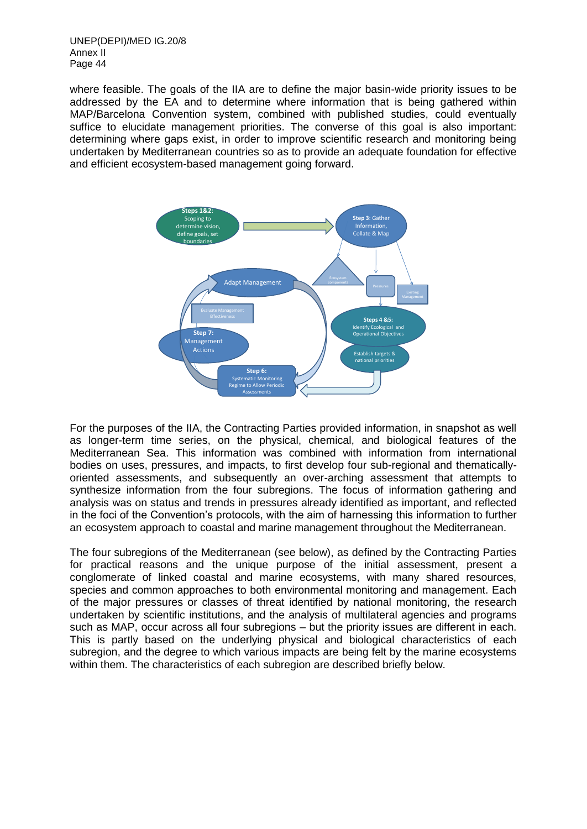UNEP(DEPI)/MED IG.20/8 Annex II Page 44

where feasible. The goals of the IIA are to define the major basin-wide priority issues to be addressed by the EA and to determine where information that is being gathered within MAP/Barcelona Convention system, combined with published studies, could eventually suffice to elucidate management priorities. The converse of this goal is also important: determining where gaps exist, in order to improve scientific research and monitoring being undertaken by Mediterranean countries so as to provide an adequate foundation for effective and efficient ecosystem-based management going forward.



For the purposes of the IIA, the Contracting Parties provided information, in snapshot as well as longer-term time series, on the physical, chemical, and biological features of the Mediterranean Sea. This information was combined with information from international bodies on uses, pressures, and impacts, to first develop four sub-regional and thematicallyoriented assessments, and subsequently an over-arching assessment that attempts to synthesize information from the four subregions. The focus of information gathering and analysis was on status and trends in pressures already identified as important, and reflected in the foci of the Convention's protocols, with the aim of harnessing this information to further an ecosystem approach to coastal and marine management throughout the Mediterranean.

The four subregions of the Mediterranean (see below), as defined by the Contracting Parties for practical reasons and the unique purpose of the initial assessment, present a conglomerate of linked coastal and marine ecosystems, with many shared resources, species and common approaches to both environmental monitoring and management. Each of the major pressures or classes of threat identified by national monitoring, the research undertaken by scientific institutions, and the analysis of multilateral agencies and programs such as MAP, occur across all four subregions – but the priority issues are different in each. This is partly based on the underlying physical and biological characteristics of each subregion, and the degree to which various impacts are being felt by the marine ecosystems within them. The characteristics of each subregion are described briefly below.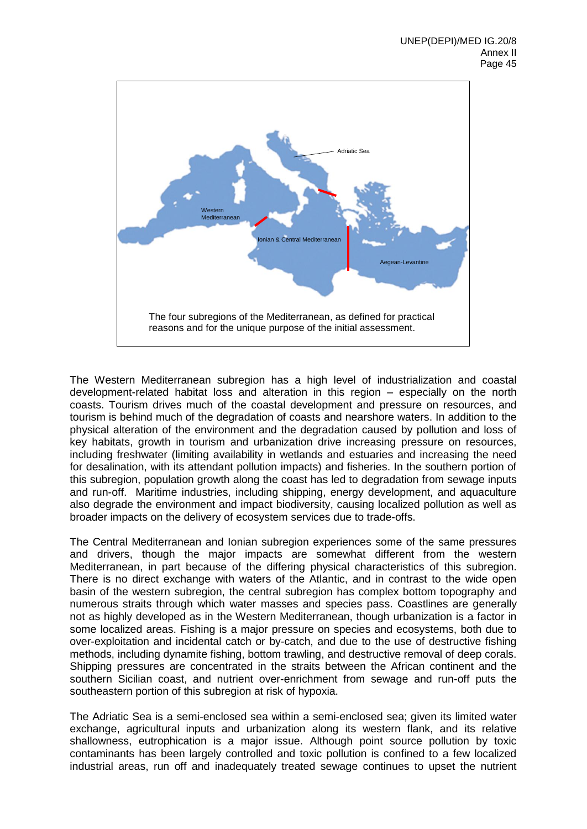

The Western Mediterranean subregion has a high level of industrialization and coastal development-related habitat loss and alteration in this region – especially on the north coasts. Tourism drives much of the coastal development and pressure on resources, and tourism is behind much of the degradation of coasts and nearshore waters. In addition to the physical alteration of the environment and the degradation caused by pollution and loss of key habitats, growth in tourism and urbanization drive increasing pressure on resources, including freshwater (limiting availability in wetlands and estuaries and increasing the need for desalination, with its attendant pollution impacts) and fisheries. In the southern portion of this subregion, population growth along the coast has led to degradation from sewage inputs and run-off. Maritime industries, including shipping, energy development, and aquaculture also degrade the environment and impact biodiversity, causing localized pollution as well as broader impacts on the delivery of ecosystem services due to trade-offs.

The Central Mediterranean and Ionian subregion experiences some of the same pressures and drivers, though the major impacts are somewhat different from the western Mediterranean, in part because of the differing physical characteristics of this subregion. There is no direct exchange with waters of the Atlantic, and in contrast to the wide open basin of the western subregion, the central subregion has complex bottom topography and numerous straits through which water masses and species pass. Coastlines are generally not as highly developed as in the Western Mediterranean, though urbanization is a factor in some localized areas. Fishing is a major pressure on species and ecosystems, both due to over-exploitation and incidental catch or by-catch, and due to the use of destructive fishing methods, including dynamite fishing, bottom trawling, and destructive removal of deep corals. Shipping pressures are concentrated in the straits between the African continent and the southern Sicilian coast, and nutrient over-enrichment from sewage and run-off puts the southeastern portion of this subregion at risk of hypoxia.

The Adriatic Sea is a semi-enclosed sea within a semi-enclosed sea; given its limited water exchange, agricultural inputs and urbanization along its western flank, and its relative shallowness, eutrophication is a major issue. Although point source pollution by toxic contaminants has been largely controlled and toxic pollution is confined to a few localized industrial areas, run off and inadequately treated sewage continues to upset the nutrient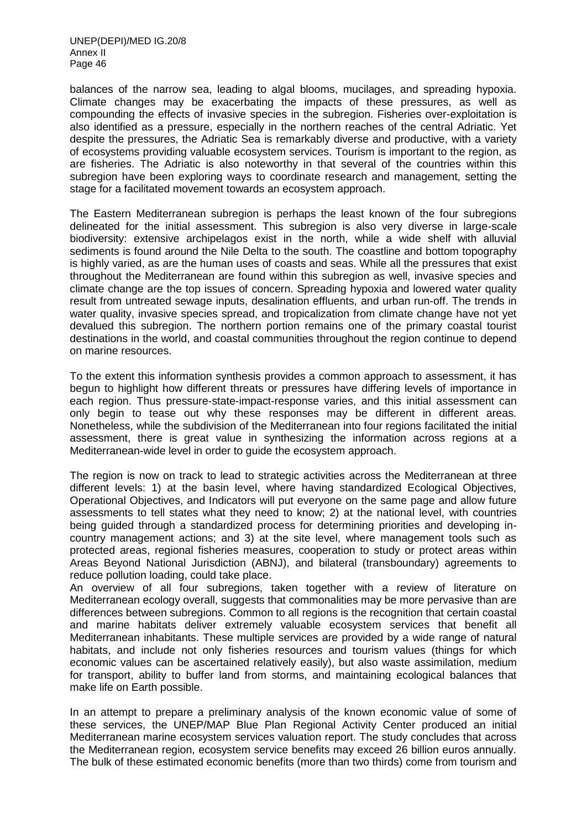balances of the narrow sea, leading to algal blooms, mucilages, and spreading hypoxia. Climate changes may be exacerbating the impacts of these pressures, as well as compounding the effects of invasive species in the subregion. Fisheries over-exploitation is also identified as a pressure, especially in the northern reaches of the central Adriatic. Yet despite the pressures, the Adriatic Sea is remarkably diverse and productive, with a variety of ecosystems providing valuable ecosystem services. Tourism is important to the region, as are fisheries. The Adriatic is also noteworthy in that several of the countries within this subregion have been exploring ways to coordinate research and management, setting the stage for a facilitated movement towards an ecosystem approach.

The Eastern Mediterranean subregion is perhaps the least known of the four subregions delineated for the initial assessment. This subregion is also very diverse in large-scale biodiversity: extensive archipelagos exist in the north, while a wide shelf with alluvial sediments is found around the Nile Delta to the south. The coastline and bottom topography is highly varied, as are the human uses of coasts and seas. While all the pressures that exist throughout the Mediterranean are found within this subregion as well, invasive species and climate change are the top issues of concern. Spreading hypoxia and lowered water quality result from untreated sewage inputs, desalination effluents, and urban run-off. The trends in water quality, invasive species spread, and tropicalization from climate change have not yet devalued this subregion. The northern portion remains one of the primary coastal tourist destinations in the world, and coastal communities throughout the region continue to depend on marine resources.

To the extent this information synthesis provides a common approach to assessment, it has begun to highlight how different threats or pressures have differing levels of importance in each region. Thus pressure-state-impact-response varies, and this initial assessment can only begin to tease out why these responses may be different in different areas. Nonetheless, while the subdivision of the Mediterranean into four regions facilitated the initial assessment, there is great value in synthesizing the information across regions at a Mediterranean-wide level in order to guide the ecosystem approach.

The region is now on track to lead to strategic activities across the Mediterranean at three different levels: 1) at the basin level, where having standardized Ecological Objectives, Operational Objectives, and Indicators will put everyone on the same page and allow future assessments to tell states what they need to know; 2) at the national level, with countries being guided through a standardized process for determining priorities and developing incountry management actions; and 3) at the site level, where management tools such as protected areas, regional fisheries measures, cooperation to study or protect areas within Areas Beyond National Jurisdiction (ABNJ), and bilateral (transboundary) agreements to reduce pollution loading, could take place.

An overview of all four subregions, taken together with a review of literature on Mediterranean ecology overall, suggests that commonalities may be more pervasive than are differences between subregions. Common to all regions is the recognition that certain coastal and marine habitats deliver extremely valuable ecosystem services that benefit all Mediterranean inhabitants. These multiple services are provided by a wide range of natural habitats, and include not only fisheries resources and tourism values (things for which economic values can be ascertained relatively easily), but also waste assimilation, medium for transport, ability to buffer land from storms, and maintaining ecological balances that make life on Earth possible.

In an attempt to prepare a preliminary analysis of the known economic value of some of these services, the UNEP/MAP Blue Plan Regional Activity Center produced an initial Mediterranean marine ecosystem services valuation report. The study concludes that across the Mediterranean region, ecosystem service benefits may exceed 26 billion euros annually. The bulk of these estimated economic benefits (more than two thirds) come from tourism and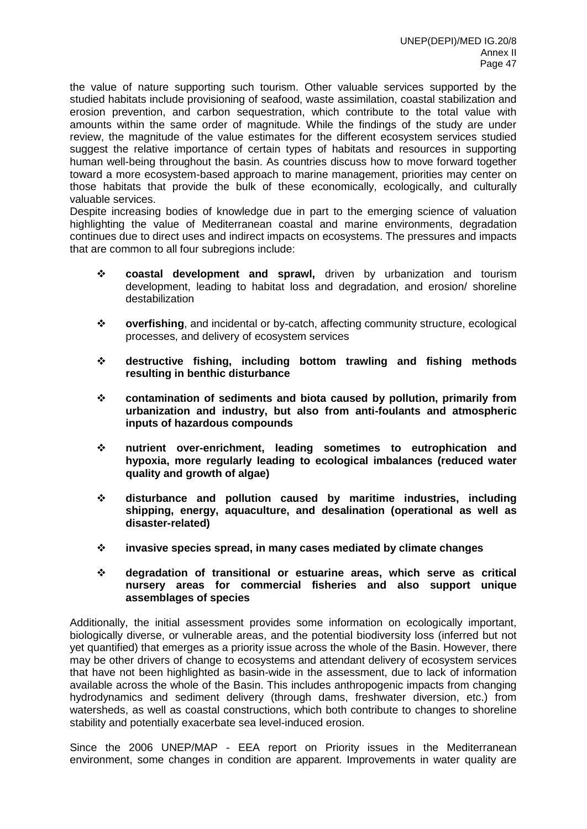the value of nature supporting such tourism. Other valuable services supported by the studied habitats include provisioning of seafood, waste assimilation, coastal stabilization and erosion prevention, and carbon sequestration, which contribute to the total value with amounts within the same order of magnitude. While the findings of the study are under review, the magnitude of the value estimates for the different ecosystem services studied suggest the relative importance of certain types of habitats and resources in supporting human well-being throughout the basin. As countries discuss how to move forward together toward a more ecosystem-based approach to marine management, priorities may center on those habitats that provide the bulk of these economically, ecologically, and culturally valuable services.

Despite increasing bodies of knowledge due in part to the emerging science of valuation highlighting the value of Mediterranean coastal and marine environments, degradation continues due to direct uses and indirect impacts on ecosystems. The pressures and impacts that are common to all four subregions include:

- **coastal development and sprawl,** driven by urbanization and tourism development, leading to habitat loss and degradation, and erosion/ shoreline destabilization
- **overfishing**, and incidental or by-catch, affecting community structure, ecological processes, and delivery of ecosystem services
- **destructive fishing, including bottom trawling and fishing methods resulting in benthic disturbance**
- **contamination of sediments and biota caused by pollution, primarily from urbanization and industry, but also from anti-foulants and atmospheric inputs of hazardous compounds**
- **nutrient over-enrichment, leading sometimes to eutrophication and hypoxia, more regularly leading to ecological imbalances (reduced water quality and growth of algae)**
- **disturbance and pollution caused by maritime industries, including shipping, energy, aquaculture, and desalination (operational as well as disaster-related)**
- **invasive species spread, in many cases mediated by climate changes**
- **degradation of transitional or estuarine areas, which serve as critical nursery areas for commercial fisheries and also support unique assemblages of species**

Additionally, the initial assessment provides some information on ecologically important, biologically diverse, or vulnerable areas, and the potential biodiversity loss (inferred but not yet quantified) that emerges as a priority issue across the whole of the Basin. However, there may be other drivers of change to ecosystems and attendant delivery of ecosystem services that have not been highlighted as basin-wide in the assessment, due to lack of information available across the whole of the Basin. This includes anthropogenic impacts from changing hydrodynamics and sediment delivery (through dams, freshwater diversion, etc.) from watersheds, as well as coastal constructions, which both contribute to changes to shoreline stability and potentially exacerbate sea level-induced erosion.

Since the 2006 UNEP/MAP - EEA report on Priority issues in the Mediterranean environment, some changes in condition are apparent. Improvements in water quality are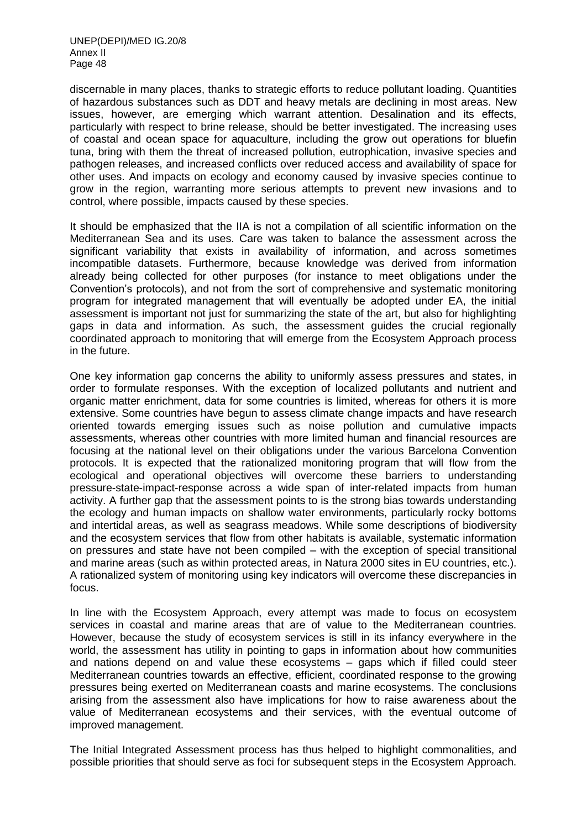discernable in many places, thanks to strategic efforts to reduce pollutant loading. Quantities of hazardous substances such as DDT and heavy metals are declining in most areas. New issues, however, are emerging which warrant attention. Desalination and its effects, particularly with respect to brine release, should be better investigated. The increasing uses of coastal and ocean space for aquaculture, including the grow out operations for bluefin tuna, bring with them the threat of increased pollution, eutrophication, invasive species and pathogen releases, and increased conflicts over reduced access and availability of space for other uses. And impacts on ecology and economy caused by invasive species continue to grow in the region, warranting more serious attempts to prevent new invasions and to control, where possible, impacts caused by these species.

It should be emphasized that the IIA is not a compilation of all scientific information on the Mediterranean Sea and its uses. Care was taken to balance the assessment across the significant variability that exists in availability of information, and across sometimes incompatible datasets. Furthermore, because knowledge was derived from information already being collected for other purposes (for instance to meet obligations under the Convention's protocols), and not from the sort of comprehensive and systematic monitoring program for integrated management that will eventually be adopted under EA, the initial assessment is important not just for summarizing the state of the art, but also for highlighting gaps in data and information. As such, the assessment guides the crucial regionally coordinated approach to monitoring that will emerge from the Ecosystem Approach process in the future.

One key information gap concerns the ability to uniformly assess pressures and states, in order to formulate responses. With the exception of localized pollutants and nutrient and organic matter enrichment, data for some countries is limited, whereas for others it is more extensive. Some countries have begun to assess climate change impacts and have research oriented towards emerging issues such as noise pollution and cumulative impacts assessments, whereas other countries with more limited human and financial resources are focusing at the national level on their obligations under the various Barcelona Convention protocols. It is expected that the rationalized monitoring program that will flow from the ecological and operational objectives will overcome these barriers to understanding pressure-state-impact-response across a wide span of inter-related impacts from human activity. A further gap that the assessment points to is the strong bias towards understanding the ecology and human impacts on shallow water environments, particularly rocky bottoms and intertidal areas, as well as seagrass meadows. While some descriptions of biodiversity and the ecosystem services that flow from other habitats is available, systematic information on pressures and state have not been compiled – with the exception of special transitional and marine areas (such as within protected areas, in Natura 2000 sites in EU countries, etc.). A rationalized system of monitoring using key indicators will overcome these discrepancies in focus.

In line with the Ecosystem Approach, every attempt was made to focus on ecosystem services in coastal and marine areas that are of value to the Mediterranean countries. However, because the study of ecosystem services is still in its infancy everywhere in the world, the assessment has utility in pointing to gaps in information about how communities and nations depend on and value these ecosystems – gaps which if filled could steer Mediterranean countries towards an effective, efficient, coordinated response to the growing pressures being exerted on Mediterranean coasts and marine ecosystems. The conclusions arising from the assessment also have implications for how to raise awareness about the value of Mediterranean ecosystems and their services, with the eventual outcome of improved management.

The Initial Integrated Assessment process has thus helped to highlight commonalities, and possible priorities that should serve as foci for subsequent steps in the Ecosystem Approach.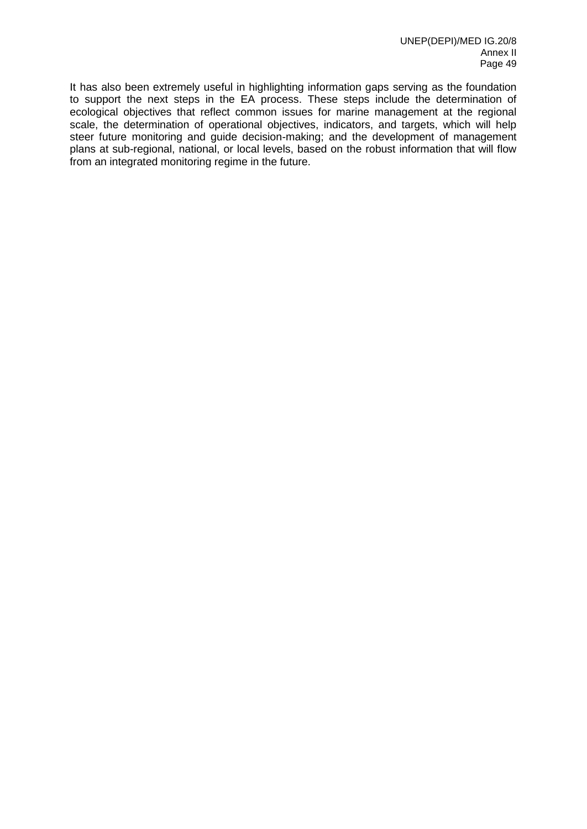It has also been extremely useful in highlighting information gaps serving as the foundation to support the next steps in the EA process. These steps include the determination of ecological objectives that reflect common issues for marine management at the regional scale, the determination of operational objectives, indicators, and targets, which will help steer future monitoring and guide decision-making; and the development of management plans at sub-regional, national, or local levels, based on the robust information that will flow from an integrated monitoring regime in the future.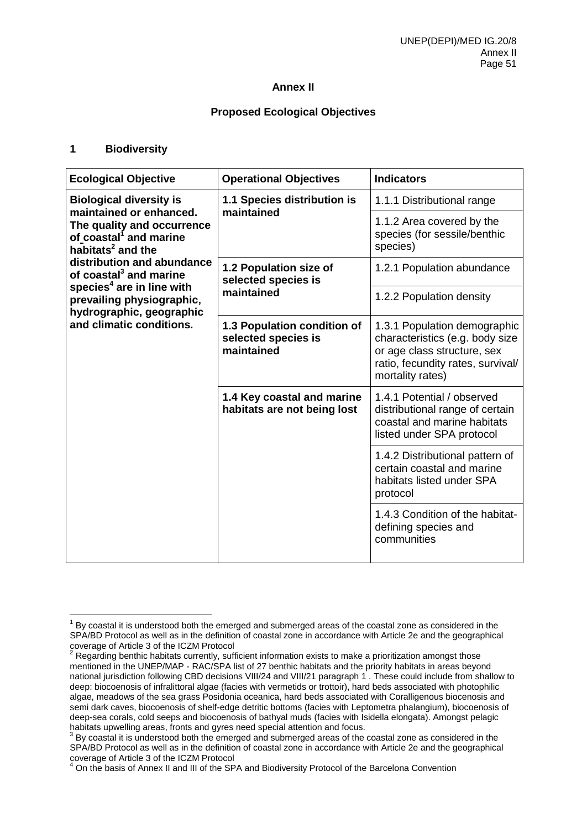## **Annex II**

## **Proposed Ecological Objectives**

## **1 Biodiversity**

| <b>Ecological Objective</b>                                                                                                                                    | <b>Operational Objectives</b>                                    | <b>Indicators</b>                                                                                                                                       |
|----------------------------------------------------------------------------------------------------------------------------------------------------------------|------------------------------------------------------------------|---------------------------------------------------------------------------------------------------------------------------------------------------------|
| <b>Biological diversity is</b><br>maintained or enhanced.<br>The quality and occurrence<br>of coastal <sup>1</sup> and marine<br>habitats <sup>2</sup> and the | 1.1 Species distribution is<br>maintained                        | 1.1.1 Distributional range                                                                                                                              |
|                                                                                                                                                                |                                                                  | 1.1.2 Area covered by the<br>species (for sessile/benthic<br>species)                                                                                   |
| distribution and abundance<br>of coastal <sup>3</sup> and marine                                                                                               | 1.2 Population size of<br>selected species is                    | 1.2.1 Population abundance                                                                                                                              |
| species <sup>4</sup> are in line with<br>prevailing physiographic,<br>hydrographic, geographic                                                                 | maintained                                                       | 1.2.2 Population density                                                                                                                                |
| and climatic conditions.                                                                                                                                       | 1.3 Population condition of<br>selected species is<br>maintained | 1.3.1 Population demographic<br>characteristics (e.g. body size<br>or age class structure, sex<br>ratio, fecundity rates, survival/<br>mortality rates) |
|                                                                                                                                                                | 1.4 Key coastal and marine<br>habitats are not being lost        | 1.4.1 Potential / observed<br>distributional range of certain<br>coastal and marine habitats<br>listed under SPA protocol                               |
|                                                                                                                                                                |                                                                  | 1.4.2 Distributional pattern of<br>certain coastal and marine<br>habitats listed under SPA<br>protocol                                                  |
|                                                                                                                                                                |                                                                  | 1.4.3 Condition of the habitat-<br>defining species and<br>communities                                                                                  |

 $1$  By coastal it is understood both the emerged and submerged areas of the coastal zone as considered in the SPA/BD Protocol as well as in the definition of coastal zone in accordance with Article 2e and the geographical coverage of Article 3 of the ICZM Protocol

 $2$  Regarding benthic habitats currently, sufficient information exists to make a prioritization amongst those mentioned in the UNEP/MAP - RAC/SPA list of 27 benthic habitats and the priority habitats in areas beyond national jurisdiction following CBD decisions VIII/24 and VIII/21 paragraph 1 . These could include from shallow to deep: biocoenosis of infralittoral algae (facies with vermetids or trottoir), hard beds associated with photophilic algae, meadows of the sea grass Posidonia oceanica, hard beds associated with Coralligenous biocenosis and semi dark caves, biocoenosis of shelf-edge detritic bottoms (facies with Leptometra phalangium), biocoenosis of deep-sea corals, cold seeps and biocoenosis of bathyal muds (facies with Isidella elongata). Amongst pelagic habitats upwelling areas, fronts and gyres need special attention and focus.

 $3$  By coastal it is understood both the emerged and submerged areas of the coastal zone as considered in the SPA/BD Protocol as well as in the definition of coastal zone in accordance with Article 2e and the geographical coverage of Article 3 of the ICZM Protocol

<sup>&</sup>lt;sup>4</sup> On the basis of Annex II and III of the SPA and Biodiversity Protocol of the Barcelona Convention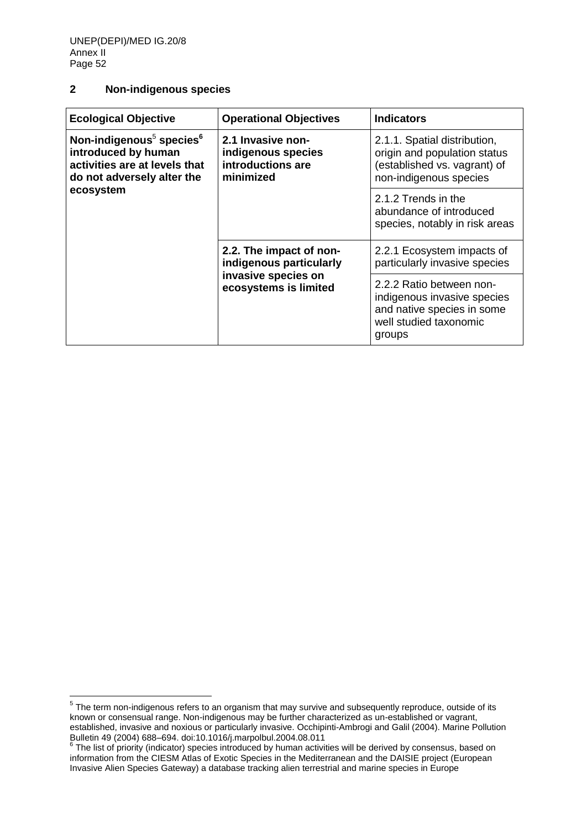## **2 Non-indigenous species**

| <b>Ecological Objective</b>                                                                                                                         | <b>Operational Objectives</b>                                             | <b>Indicators</b>                                                                                                         |
|-----------------------------------------------------------------------------------------------------------------------------------------------------|---------------------------------------------------------------------------|---------------------------------------------------------------------------------------------------------------------------|
| Non-indigenous <sup>5</sup> species <sup>6</sup><br>introduced by human<br>activities are at levels that<br>do not adversely alter the<br>ecosystem | 2.1 Invasive non-<br>indigenous species<br>introductions are<br>minimized | 2.1.1. Spatial distribution,<br>origin and population status<br>(established vs. vagrant) of<br>non-indigenous species    |
|                                                                                                                                                     |                                                                           | 2.1.2 Trends in the<br>abundance of introduced<br>species, notably in risk areas                                          |
|                                                                                                                                                     | 2.2. The impact of non-<br>indigenous particularly                        | 2.2.1 Ecosystem impacts of<br>particularly invasive species                                                               |
|                                                                                                                                                     | invasive species on<br>ecosystems is limited                              | 2.2.2 Ratio between non-<br>indigenous invasive species<br>and native species in some<br>well studied taxonomic<br>groups |

 5 The term non-indigenous refers to an organism that may survive and subsequently reproduce, outside of its known or consensual range. Non-indigenous may be further characterized as un-established or vagrant, established, invasive and noxious or particularly invasive. Occhipinti-Ambrogi and Galil (2004). Marine Pollution Bulletin 49 (2004) 688–694. doi:10.1016/j.marpolbul.2004.08.011<br><sup>6</sup> The list of priority (indicator) species introduced by human activities will be derived by consensus, based on

information from the CIESM Atlas of Exotic Species in the Mediterranean and the DAISIE project (European Invasive Alien Species Gateway) a database tracking alien terrestrial and marine species in Europe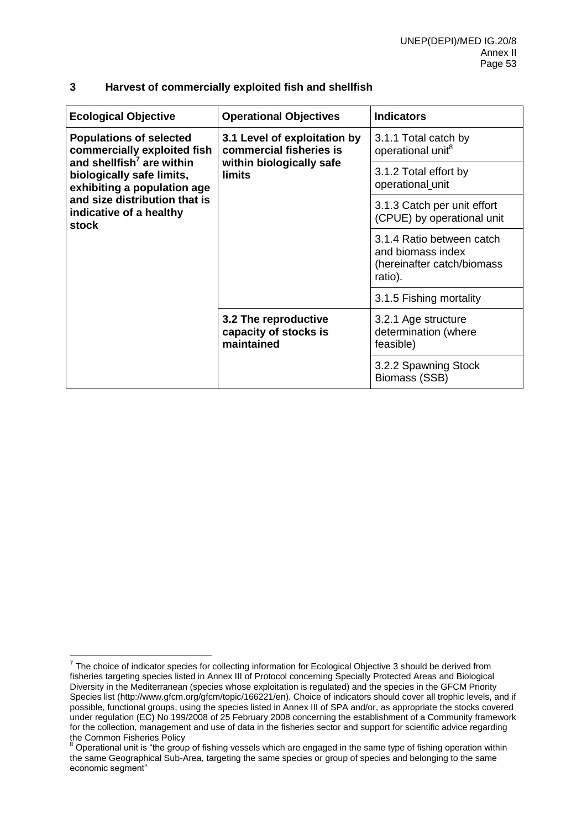| <b>Ecological Objective</b>                                                                                                                                                                                                             | <b>Operational Objectives</b>                               | <b>Indicators</b>                                                                       |
|-----------------------------------------------------------------------------------------------------------------------------------------------------------------------------------------------------------------------------------------|-------------------------------------------------------------|-----------------------------------------------------------------------------------------|
| <b>Populations of selected</b><br>commercially exploited fish<br>and shellfish <sup>7</sup> are within<br>biologically safe limits,<br>exhibiting a population age<br>and size distribution that is<br>indicative of a healthy<br>stock | 3.1 Level of exploitation by<br>commercial fisheries is     | 3.1.1 Total catch by<br>operational unit <sup>8</sup>                                   |
|                                                                                                                                                                                                                                         | within biologically safe<br>limits                          | 3.1.2 Total effort by<br>operational unit                                               |
|                                                                                                                                                                                                                                         |                                                             | 3.1.3 Catch per unit effort<br>(CPUE) by operational unit                               |
|                                                                                                                                                                                                                                         |                                                             | 3.1.4 Ratio between catch<br>and biomass index<br>(hereinafter catch/biomass<br>ratio). |
|                                                                                                                                                                                                                                         |                                                             | 3.1.5 Fishing mortality                                                                 |
|                                                                                                                                                                                                                                         | 3.2 The reproductive<br>capacity of stocks is<br>maintained | 3.2.1 Age structure<br>determination (where<br>feasible)                                |
|                                                                                                                                                                                                                                         |                                                             | 3.2.2 Spawning Stock<br>Biomass (SSB)                                                   |

## **3 Harvest of commercially exploited fish and shellfish**

The choice of indicator species for collecting information for Ecological Objective 3 should be derived from<br>The choice of indicator species for collecting information for Ecological Objective 3 should be derived from fisheries targeting species listed in Annex III of Protocol concerning Specially Protected Areas and Biological Diversity in the Mediterranean (species whose exploitation is regulated) and the species in the GFCM Priority Species list (http://www.gfcm.org/gfcm/topic/166221/en). Choice of indicators should cover all trophic levels, and if possible, functional groups, using the species listed in Annex III of SPA and/or, as appropriate the stocks covered under regulation (EC) No 199/2008 of 25 February 2008 concerning the establishment of a Community framework for the collection, management and use of data in the fisheries sector and support for scientific advice regarding the Common Fisheries Policy

 $8$  Operational unit is "the group of fishing vessels which are engaged in the same type of fishing operation within the same Geographical Sub-Area, targeting the same species or group of species and belonging to the same economic segment"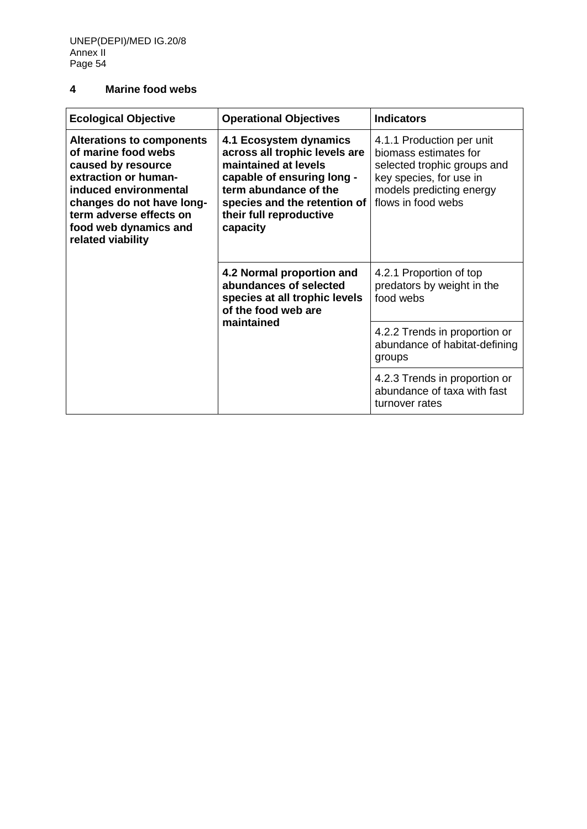# **4 Marine food webs**

| <b>Ecological Objective</b>                                                                                                                                                                                                          | <b>Operational Objectives</b>                                                                                                                                                                                 | <b>Indicators</b>                                                                                                                                              |
|--------------------------------------------------------------------------------------------------------------------------------------------------------------------------------------------------------------------------------------|---------------------------------------------------------------------------------------------------------------------------------------------------------------------------------------------------------------|----------------------------------------------------------------------------------------------------------------------------------------------------------------|
| <b>Alterations to components</b><br>of marine food webs<br>caused by resource<br>extraction or human-<br>induced environmental<br>changes do not have long-<br>term adverse effects on<br>food web dynamics and<br>related viability | 4.1 Ecosystem dynamics<br>across all trophic levels are<br>maintained at levels<br>capable of ensuring long -<br>term abundance of the<br>species and the retention of<br>their full reproductive<br>capacity | 4.1.1 Production per unit<br>biomass estimates for<br>selected trophic groups and<br>key species, for use in<br>models predicting energy<br>flows in food webs |
|                                                                                                                                                                                                                                      | 4.2 Normal proportion and<br>abundances of selected<br>species at all trophic levels<br>of the food web are                                                                                                   | 4.2.1 Proportion of top<br>predators by weight in the<br>food webs                                                                                             |
|                                                                                                                                                                                                                                      | maintained                                                                                                                                                                                                    | 4.2.2 Trends in proportion or<br>abundance of habitat-defining<br>groups                                                                                       |
|                                                                                                                                                                                                                                      |                                                                                                                                                                                                               | 4.2.3 Trends in proportion or<br>abundance of taxa with fast<br>turnover rates                                                                                 |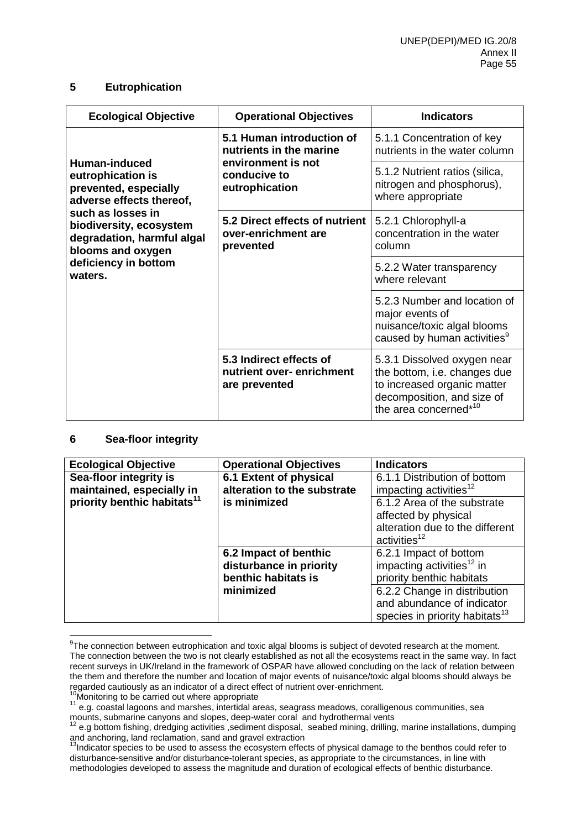### **5 Eutrophication**

| <b>Ecological Objective</b>                                                                                                                                                                                                   | <b>Operational Objectives</b>                                        | <b>Indicators</b>                                                                                                                                 |
|-------------------------------------------------------------------------------------------------------------------------------------------------------------------------------------------------------------------------------|----------------------------------------------------------------------|---------------------------------------------------------------------------------------------------------------------------------------------------|
| Human-induced<br>eutrophication is<br>prevented, especially<br>adverse effects thereof,<br>such as losses in<br>biodiversity, ecosystem<br>degradation, harmful algal<br>blooms and oxygen<br>deficiency in bottom<br>waters. | 5.1 Human introduction of<br>nutrients in the marine                 | 5.1.1 Concentration of key<br>nutrients in the water column                                                                                       |
|                                                                                                                                                                                                                               | environment is not<br>conducive to<br>eutrophication                 | 5.1.2 Nutrient ratios (silica,<br>nitrogen and phosphorus),<br>where appropriate                                                                  |
|                                                                                                                                                                                                                               | 5.2 Direct effects of nutrient<br>over-enrichment are<br>prevented   | 5.2.1 Chlorophyll-a<br>concentration in the water<br>column                                                                                       |
|                                                                                                                                                                                                                               |                                                                      | 5.2.2 Water transparency<br>where relevant                                                                                                        |
|                                                                                                                                                                                                                               |                                                                      | 5.2.3 Number and location of<br>major events of<br>nuisance/toxic algal blooms<br>caused by human activities <sup>9</sup>                         |
|                                                                                                                                                                                                                               | 5.3 Indirect effects of<br>nutrient over-enrichment<br>are prevented | 5.3.1 Dissolved oxygen near<br>the bottom, i.e. changes due<br>to increased organic matter<br>decomposition, and size of<br>the area concerned*10 |

## **6 Sea-floor integrity**

| <b>Ecological Objective</b>             | <b>Operational Objectives</b> | <b>Indicators</b>                          |
|-----------------------------------------|-------------------------------|--------------------------------------------|
| Sea-floor integrity is                  | 6.1 Extent of physical        | 6.1.1 Distribution of bottom               |
| maintained, especially in               | alteration to the substrate   | impacting activities <sup>12</sup>         |
| priority benthic habitats <sup>11</sup> | is minimized                  | 6.1.2 Area of the substrate                |
|                                         |                               | affected by physical                       |
|                                         |                               | alteration due to the different            |
|                                         |                               | activities <sup>12</sup>                   |
|                                         | 6.2 Impact of benthic         | 6.2.1 Impact of bottom                     |
|                                         | disturbance in priority       | impacting activities <sup>12</sup> in      |
|                                         | benthic habitats is           | priority benthic habitats                  |
|                                         | minimized                     | 6.2.2 Change in distribution               |
|                                         |                               | and abundance of indicator                 |
|                                         |                               | species in priority habitats <sup>13</sup> |

 $\overline{a}$  $9$ The connection between eutrophication and toxic algal blooms is subject of devoted research at the moment. The connection between the two is not clearly established as not all the ecosystems react in the same way. In fact recent surveys in UK/Ireland in the framework of OSPAR have allowed concluding on the lack of relation between the them and therefore the number and location of major events of nuisance/toxic algal blooms should always be regarded cautiously as an indicator of a direct effect of nutrient over-enrichment.

 $10$ Monitoring to be carried out where appropriate

<sup>11</sup> e.g. coastal lagoons and marshes, intertidal areas, seagrass meadows, coralligenous communities, sea mounts, submarine canyons and slopes, deep-water coral and hydrothermal vents

 $12$  e.g bottom fishing, dredging activities , sediment disposal, seabed mining, drilling, marine installations, dumping and anchoring, land reclamation, sand and gravel extraction

<sup>&</sup>lt;sup>13</sup>Indicator species to be used to assess the ecosystem effects of physical damage to the benthos could refer to disturbance-sensitive and/or disturbance-tolerant species, as appropriate to the circumstances, in line with methodologies developed to assess the magnitude and duration of ecological effects of benthic disturbance.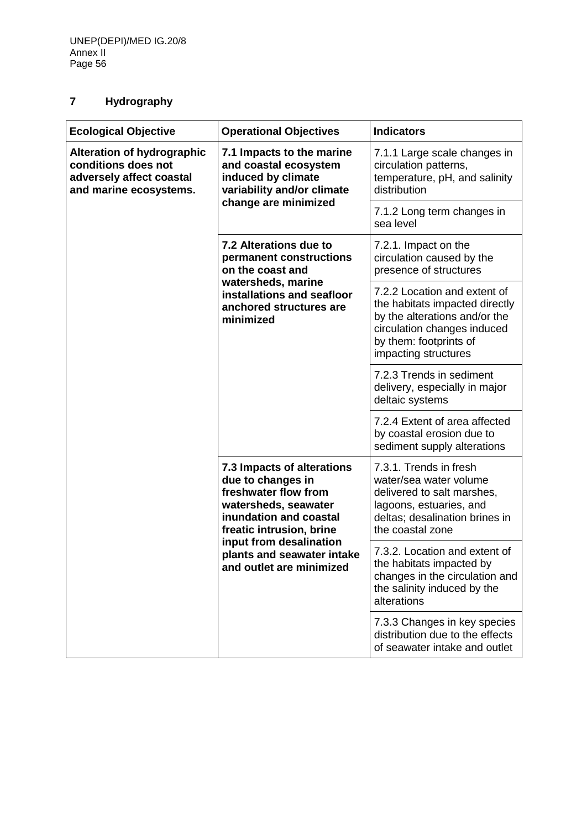# **7 Hydrography**

| <b>Ecological Objective</b>                                                                                    | <b>Operational Objectives</b>                                                                                                                                                                                                                                                                                                      | <b>Indicators</b>                                                                                                                                        |
|----------------------------------------------------------------------------------------------------------------|------------------------------------------------------------------------------------------------------------------------------------------------------------------------------------------------------------------------------------------------------------------------------------------------------------------------------------|----------------------------------------------------------------------------------------------------------------------------------------------------------|
| <b>Alteration of hydrographic</b><br>conditions does not<br>adversely affect coastal<br>and marine ecosystems. | 7.1 Impacts to the marine<br>and coastal ecosystem<br>induced by climate<br>variability and/or climate                                                                                                                                                                                                                             | 7.1.1 Large scale changes in<br>circulation patterns,<br>temperature, pH, and salinity<br>distribution                                                   |
|                                                                                                                | change are minimized                                                                                                                                                                                                                                                                                                               | 7.1.2 Long term changes in<br>sea level                                                                                                                  |
|                                                                                                                | 7.2 Alterations due to<br>7.2.1. Impact on the<br>permanent constructions<br>on the coast and<br>watersheds, marine<br>installations and seafloor<br>anchored structures are<br>minimized<br>impacting structures<br>deltaic systems                                                                                               | circulation caused by the<br>presence of structures                                                                                                      |
|                                                                                                                |                                                                                                                                                                                                                                                                                                                                    | 7.2.2 Location and extent of<br>the habitats impacted directly<br>by the alterations and/or the<br>circulation changes induced<br>by them: footprints of |
|                                                                                                                |                                                                                                                                                                                                                                                                                                                                    | 7.2.3 Trends in sediment<br>delivery, especially in major                                                                                                |
|                                                                                                                |                                                                                                                                                                                                                                                                                                                                    | 7.2.4 Extent of area affected<br>by coastal erosion due to<br>sediment supply alterations                                                                |
|                                                                                                                | 7.3.1. Trends in fresh<br>7.3 Impacts of alterations<br>due to changes in<br>freshwater flow from<br>watersheds, seawater<br>lagoons, estuaries, and<br>inundation and coastal<br>freatic intrusion, brine<br>the coastal zone<br>input from desalination<br>plants and seawater intake<br>and outlet are minimized<br>alterations | water/sea water volume<br>delivered to salt marshes,<br>deltas; desalination brines in                                                                   |
|                                                                                                                |                                                                                                                                                                                                                                                                                                                                    | 7.3.2. Location and extent of<br>the habitats impacted by<br>changes in the circulation and<br>the salinity induced by the                               |
|                                                                                                                |                                                                                                                                                                                                                                                                                                                                    | 7.3.3 Changes in key species<br>distribution due to the effects<br>of seawater intake and outlet                                                         |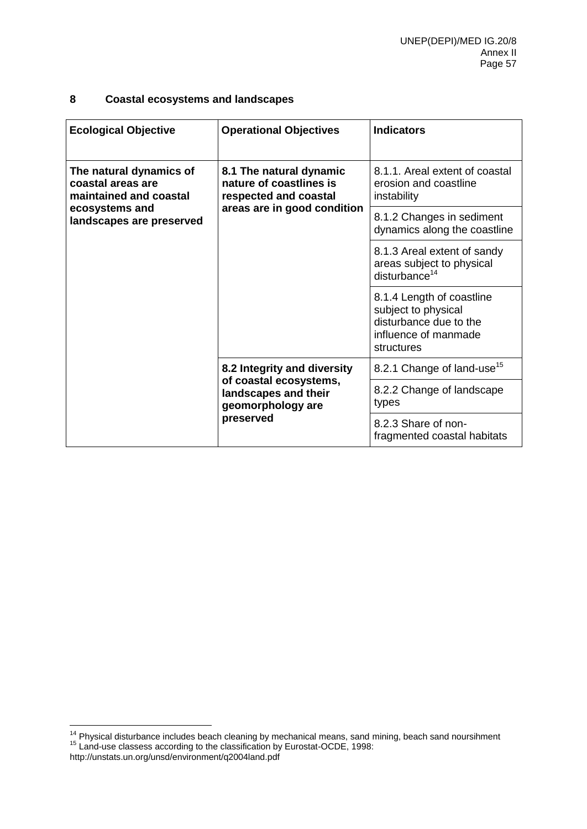## **8 Coastal ecosystems and landscapes**

| <b>Ecological Objective</b>                                            | <b>Operational Objectives</b>                                               | <b>Indicators</b>                                                                                                |
|------------------------------------------------------------------------|-----------------------------------------------------------------------------|------------------------------------------------------------------------------------------------------------------|
| The natural dynamics of<br>coastal areas are<br>maintained and coastal | 8.1 The natural dynamic<br>nature of coastlines is<br>respected and coastal | 8.1.1. Areal extent of coastal<br>erosion and coastline<br>instability                                           |
| ecosystems and<br>landscapes are preserved                             | areas are in good condition                                                 | 8.1.2 Changes in sediment<br>dynamics along the coastline                                                        |
|                                                                        |                                                                             | 8.1.3 Areal extent of sandy<br>areas subject to physical<br>disturbance <sup>14</sup>                            |
|                                                                        |                                                                             | 8.1.4 Length of coastline<br>subject to physical<br>disturbance due to the<br>influence of manmade<br>structures |
|                                                                        | 8.2 Integrity and diversity                                                 | 8.2.1 Change of land-use <sup>15</sup>                                                                           |
|                                                                        | of coastal ecosystems,<br>landscapes and their<br>geomorphology are         | 8.2.2 Change of landscape<br>types                                                                               |
|                                                                        | preserved                                                                   | 8.2.3 Share of non-<br>fragmented coastal habitats                                                               |

 $14$  Physical disturbance includes beach cleaning by mechanical means, sand mining, beach sand noursihment <sup>15</sup> Land-use classess according to the classification by Eurostat-OCDE, 1998:

http://unstats.un.org/unsd/environment/q2004land.pdf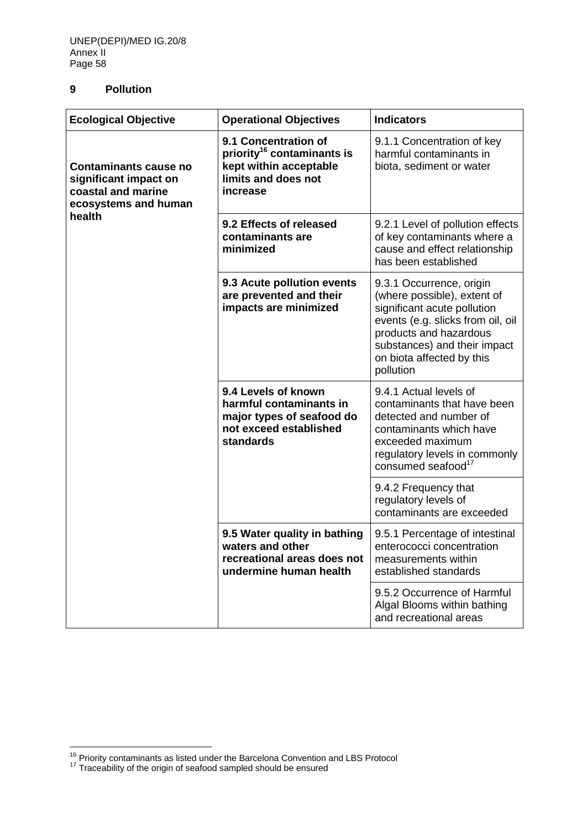## **9 Pollution**

| <b>Ecological Objective</b>                                                                                   | <b>Operational Objectives</b>                                                                                               | <b>Indicators</b>                                                                                                                                                                                                               |
|---------------------------------------------------------------------------------------------------------------|-----------------------------------------------------------------------------------------------------------------------------|---------------------------------------------------------------------------------------------------------------------------------------------------------------------------------------------------------------------------------|
| <b>Contaminants cause no</b><br>significant impact on<br>coastal and marine<br>ecosystems and human<br>health | 9.1 Concentration of<br>priority <sup>16</sup> contaminants is<br>kept within acceptable<br>limits and does not<br>increase | 9.1.1 Concentration of key<br>harmful contaminants in<br>biota, sediment or water                                                                                                                                               |
|                                                                                                               | 9.2 Effects of released<br>contaminants are<br>minimized                                                                    | 9.2.1 Level of pollution effects<br>of key contaminants where a<br>cause and effect relationship<br>has been established                                                                                                        |
|                                                                                                               | 9.3 Acute pollution events<br>are prevented and their<br>impacts are minimized                                              | 9.3.1 Occurrence, origin<br>(where possible), extent of<br>significant acute pollution<br>events (e.g. slicks from oil, oil<br>products and hazardous<br>substances) and their impact<br>on biota affected by this<br>pollution |
|                                                                                                               | 9.4 Levels of known<br>harmful contaminants in<br>major types of seafood do<br>not exceed established<br><b>standards</b>   | 9.4.1 Actual levels of<br>contaminants that have been<br>detected and number of<br>contaminants which have<br>exceeded maximum<br>regulatory levels in commonly<br>consumed seafood <sup>17</sup>                               |
|                                                                                                               |                                                                                                                             | 9.4.2 Frequency that<br>regulatory levels of<br>contaminants are exceeded                                                                                                                                                       |
|                                                                                                               | 9.5 Water quality in bathing<br>waters and other<br>recreational areas does not<br>undermine human health                   | 9.5.1 Percentage of intestinal<br>enterococci concentration<br>measurements within<br>established standards                                                                                                                     |
|                                                                                                               |                                                                                                                             | 9.5.2 Occurrence of Harmful<br>Algal Blooms within bathing<br>and recreational areas                                                                                                                                            |

<sup>&</sup>lt;sup>16</sup> Priority contaminants as listed under the Barcelona Convention and LBS Protocol

 $17$  Traceability of the origin of seafood sampled should be ensured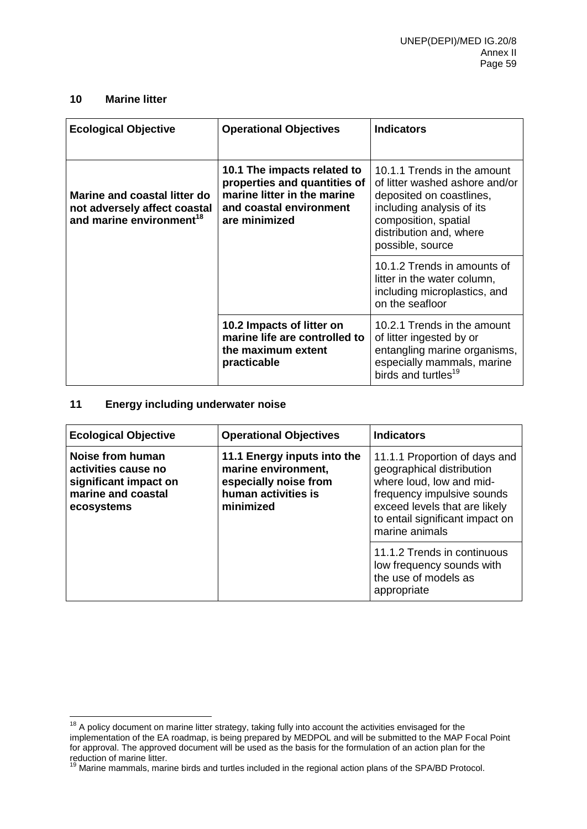## **10 Marine litter**

| <b>Ecological Objective</b>                                                                          | <b>Operational Objectives</b>                                                                                                          | <b>Indicators</b>                                                                                                                                                                             |
|------------------------------------------------------------------------------------------------------|----------------------------------------------------------------------------------------------------------------------------------------|-----------------------------------------------------------------------------------------------------------------------------------------------------------------------------------------------|
| Marine and coastal litter do<br>not adversely affect coastal<br>and marine environment <sup>18</sup> | 10.1 The impacts related to<br>properties and quantities of<br>marine litter in the marine<br>and coastal environment<br>are minimized | 10.1.1 Trends in the amount<br>of litter washed ashore and/or<br>deposited on coastlines,<br>including analysis of its<br>composition, spatial<br>distribution and, where<br>possible, source |
|                                                                                                      |                                                                                                                                        | 10.1.2 Trends in amounts of<br>litter in the water column,<br>including microplastics, and<br>on the seafloor                                                                                 |
|                                                                                                      | 10.2 Impacts of litter on<br>marine life are controlled to<br>the maximum extent<br>practicable                                        | 10.2.1 Trends in the amount<br>of litter ingested by or<br>entangling marine organisms,<br>especially mammals, marine<br>birds and turtles <sup>19</sup>                                      |

## **11 Energy including underwater noise**

| <b>Ecological Objective</b>                                                                          | <b>Operational Objectives</b>                                                                                   | <b>Indicators</b>                                                                                                                                                                                          |
|------------------------------------------------------------------------------------------------------|-----------------------------------------------------------------------------------------------------------------|------------------------------------------------------------------------------------------------------------------------------------------------------------------------------------------------------------|
| Noise from human<br>activities cause no<br>significant impact on<br>marine and coastal<br>ecosystems | 11.1 Energy inputs into the<br>marine environment,<br>especially noise from<br>human activities is<br>minimized | 11.1.1 Proportion of days and<br>geographical distribution<br>where loud, low and mid-<br>frequency impulsive sounds<br>exceed levels that are likely<br>to entail significant impact on<br>marine animals |
|                                                                                                      |                                                                                                                 | 11.1.2 Trends in continuous<br>low frequency sounds with<br>the use of models as<br>appropriate                                                                                                            |

 $18$  A policy document on marine litter strategy, taking fully into account the activities envisaged for the implementation of the EA roadmap, is being prepared by MEDPOL and will be submitted to the MAP Focal Point for approval. The approved document will be used as the basis for the formulation of an action plan for the reduction of marine litter.

<sup>&</sup>lt;sup>19</sup> Marine mammals, marine birds and turtles included in the regional action plans of the SPA/BD Protocol.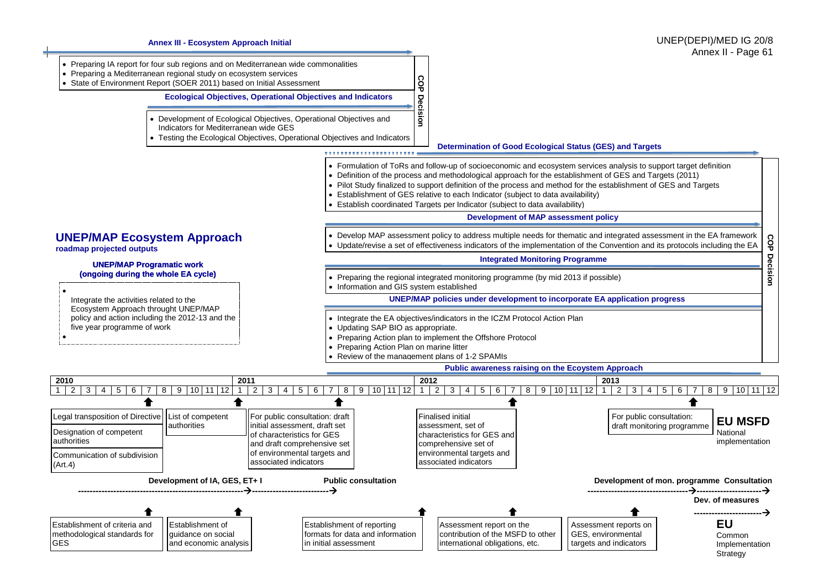

**Annex III - Ecosystem Approach Initial**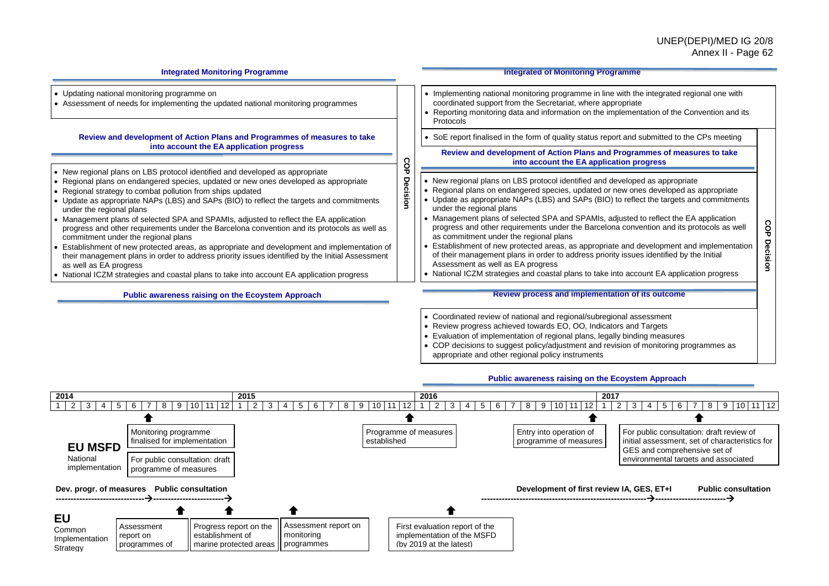